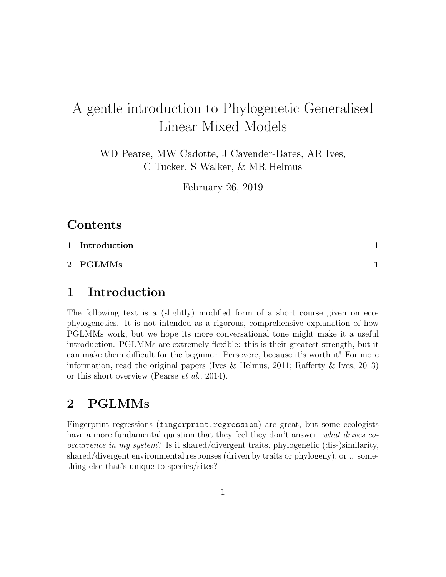# A gentle introduction to Phylogenetic Generalised Linear Mixed Models

WD Pearse, MW Cadotte, J Cavender-Bares, AR Ives, C Tucker, S Walker, & MR Helmus

February 26, 2019

#### Contents

[1 Introduction](#page-0-0) 1

[2 PGLMMs](#page-0-1) 1

#### <span id="page-0-0"></span>1 Introduction

The following text is a (slightly) modified form of a short course given on ecophylogenetics. It is not intended as a rigorous, comprehensive explanation of how PGLMMs work, but we hope its more conversational tone might make it a useful introduction. PGLMMs are extremely flexible: this is their greatest strength, but it can make them difficult for the beginner. Persevere, because it's worth it! For more information, read the original papers (Ives  $\&$  Helmus, [2011;](#page-4-0) Rafferty  $\&$  Ives, [2013\)](#page-5-0) or this short overview [\(Pearse](#page-4-1) et al., [2014\)](#page-4-1).

### <span id="page-0-1"></span>2 PGLMMs

Fingerprint regressions (fingerprint.regression) are great, but some ecologists have a more fundamental question that they feel they don't answer: what drives cooccurrence in my system? Is it shared/divergent traits, phylogenetic (dis-)similarity, shared/divergent environmental responses (driven by traits or phylogeny), or... something else that's unique to species/sites?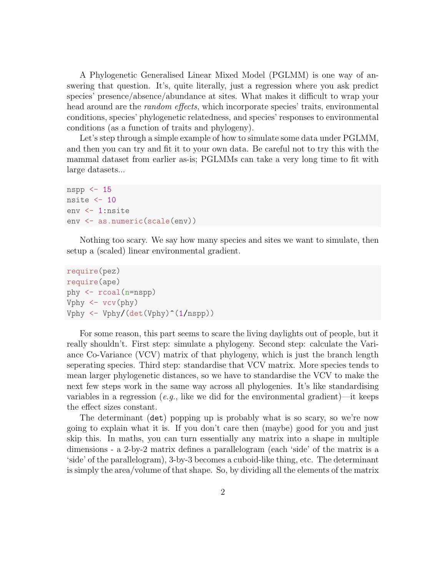A Phylogenetic Generalised Linear Mixed Model (PGLMM) is one way of answering that question. It's, quite literally, just a regression where you ask predict species' presence/absence/abundance at sites. What makes it difficult to wrap your head around are the *random effects*, which incorporate species' traits, environmental conditions, species' phylogenetic relatedness, and species' responses to environmental conditions (as a function of traits and phylogeny).

Let's step through a simple example of how to simulate some data under PGLMM, and then you can try and fit it to your own data. Be careful not to try this with the mammal dataset from earlier as-is; PGLMMs can take a very long time to fit with large datasets...

```
nspp <- 15
nsite <-10env <- 1:nsite
env <- as.numeric(scale(env))
```
Nothing too scary. We say how many species and sites we want to simulate, then setup a (scaled) linear environmental gradient.

```
require(pez)
require(ape)
phy <- rcoal(n=nspp)
Vphy \leftarrow vcv(phy)
Vphy \leftarrow Vphy/(det(Vphy)<sup>^</sup>(1/nspp))
```
For some reason, this part seems to scare the living daylights out of people, but it really shouldn't. First step: simulate a phylogeny. Second step: calculate the Variance Co-Variance (VCV) matrix of that phylogeny, which is just the branch length seperating species. Third step: standardise that VCV matrix. More species tends to mean larger phylogenetic distances, so we have to standardise the VCV to make the next few steps work in the same way across all phylogenies. It's like standardising variables in a regression (e.g., like we did for the environmental gradient)—it keeps the effect sizes constant.

The determinant (det) popping up is probably what is so scary, so we're now going to explain what it is. If you don't care then (maybe) good for you and just skip this. In maths, you can turn essentially any matrix into a shape in multiple dimensions - a 2-by-2 matrix defines a parallelogram (each 'side' of the matrix is a 'side' of the parallelogram), 3-by-3 becomes a cuboid-like thing, etc. The determinant is simply the area/volume of that shape. So, by dividing all the elements of the matrix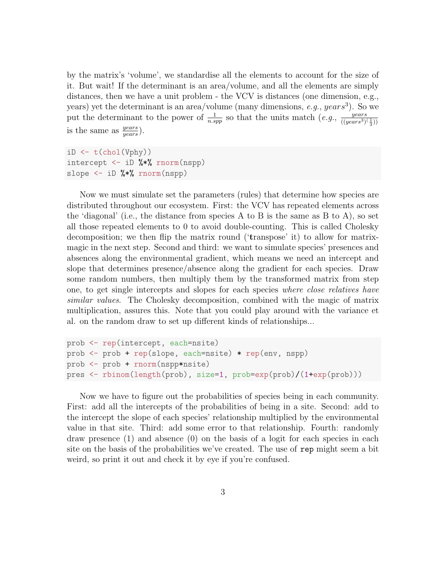by the matrix's 'volume', we standardise all the elements to account for the size of it. But wait! If the determinant is an area/volume, and all the elements are simply distances, then we have a unit problem - the VCV is distances (one dimension, e.g., years) yet the determinant is an area/volume (many dimensions, e.g.,  $years^3$ ). So we put the determinant to the power of  $\frac{1}{n.\text{spp}}$  so that the units match  $(e.g., \frac{years}{((years)^3)})$  $\overline{((years^3)(\frac{1}{3}))}$ is the same as  $\frac{years}{years}$ ).

 $iD \leftarrow t(chol(Vphy))$ intercept  $\leq -1$  10 %\*% rnorm(nspp) slope  $\leq$  iD  $\frac{1}{2}$   $\frac{1}{2}$   $\frac{1}{2}$   $\frac{1}{2}$   $\frac{1}{2}$   $\frac{1}{2}$   $\frac{1}{2}$   $\frac{1}{2}$   $\frac{1}{2}$   $\frac{1}{2}$   $\frac{1}{2}$   $\frac{1}{2}$   $\frac{1}{2}$   $\frac{1}{2}$   $\frac{1}{2}$   $\frac{1}{2}$   $\frac{1}{2}$   $\frac{1}{2}$   $\frac{1}{2}$   $\frac{1}{2}$   $\frac{1}{$ 

Now we must simulate set the parameters (rules) that determine how species are distributed throughout our ecosystem. First: the VCV has repeated elements across the 'diagonal' (i.e., the distance from species A to B is the same as B to A), so set all those repeated elements to 0 to avoid double-counting. This is called Cholesky decomposition; we then flip the matrix round ('transpose' it) to allow for matrixmagic in the next step. Second and third: we want to simulate species' presences and absences along the environmental gradient, which means we need an intercept and slope that determines presence/absence along the gradient for each species. Draw some random numbers, then multiply them by the transformed matrix from step one, to get single intercepts and slopes for each species where close relatives have similar values. The Cholesky decomposition, combined with the magic of matrix multiplication, assures this. Note that you could play around with the variance et al. on the random draw to set up different kinds of relationships...

```
prob <- rep(intercept, each=nsite)
prob <- prob + rep(slope, each=nsite) * rep(env, nspp)
prob <- prob + rnorm(nspp*nsite)
pres <- rbinom(length(prob), size=1, prob=exp(prob)/(1+exp(prob)))
```
Now we have to figure out the probabilities of species being in each community. First: add all the intercepts of the probabilities of being in a site. Second: add to the intercept the slope of each species' relationship multiplied by the environmental value in that site. Third: add some error to that relationship. Fourth: randomly draw presence (1) and absence (0) on the basis of a logit for each species in each site on the basis of the probabilities we've created. The use of rep might seem a bit weird, so print it out and check it by eye if you're confused.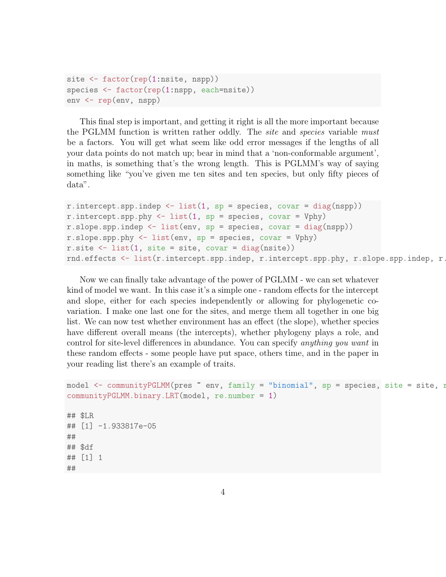```
site <- factor(rep(1:nsite, nspp))
species <- factor(rep(1:nspp, each=nsite))
env <- rep(env, nspp)
```
This final step is important, and getting it right is all the more important because the PGLMM function is written rather oddly. The *site* and *species* variable must be a factors. You will get what seem like odd error messages if the lengths of all your data points do not match up; bear in mind that a 'non-conformable argument', in maths, is something that's the wrong length. This is PGLMM's way of saying something like "you've given me ten sites and ten species, but only fifty pieces of data".

```
r.intercept.spp.indep \le - list(1, sp = species, covar = diag(nspp))
r.intercept.spp.phy \le list(1, sp = species, covar = Vphy)
r.slope.spp.indep <- list(env, sp = species, covar = diag(nspp))
r.slope.spp.phy <- list(env, sp = species, covar = Vphy)
r.site \leftarrow list(1, site = site, covar = diag(nsite))rnd.effects <- list(r.intercept.spp.indep, r.intercept.spp.phy, r.slope.spp.indep, r.
```
Now we can finally take advantage of the power of PGLMM - we can set whatever kind of model we want. In this case it's a simple one - random effects for the intercept and slope, either for each species independently or allowing for phylogenetic covariation. I make one last one for the sites, and merge them all together in one big list. We can now test whether environment has an effect (the slope), whether species have different overall means (the intercepts), whether phylogeny plays a role, and control for site-level differences in abundance. You can specify anything you want in these random effects - some people have put space, others time, and in the paper in your reading list there's an example of traits.

```
model <- communityPGLMM(pres \tilde{ } env, family = "binomial", sp = species, site = site, r
communityPGLMM.binary.LRT(model, re.number = 1)
## $LR
## [1] -1.933817e-05
##
## $df
## [1] 1
##
```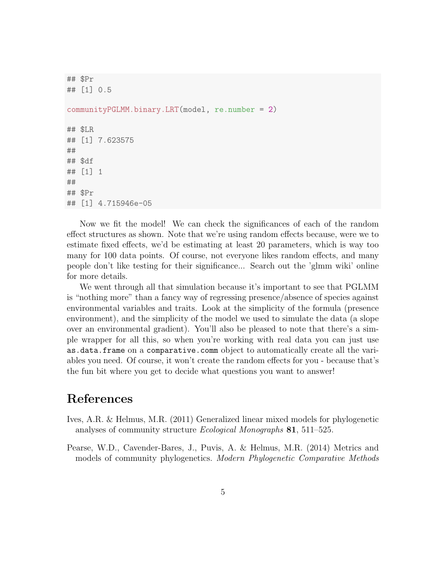```
## $Pr
## [1] 0.5
communityPGLMM.binary.LRT(model, re.number = 2)
## $LR
## [1] 7.623575
##
## $df
## [1] 1
##
## $Pr
## [1] 4.715946e-05
```
Now we fit the model! We can check the significances of each of the random effect structures as shown. Note that we're using random effects because, were we to estimate fixed effects, we'd be estimating at least 20 parameters, which is way too many for 100 data points. Of course, not everyone likes random effects, and many people don't like testing for their significance... Search out the 'glmm wiki' online for more details.

We went through all that simulation because it's important to see that PGLMM is "nothing more" than a fancy way of regressing presence/absence of species against environmental variables and traits. Look at the simplicity of the formula (presence environment), and the simplicity of the model we used to simulate the data (a slope over an environmental gradient). You'll also be pleased to note that there's a simple wrapper for all this, so when you're working with real data you can just use as.data.frame on a comparative.comm object to automatically create all the variables you need. Of course, it won't create the random effects for you - because that's the fun bit where you get to decide what questions you want to answer!

## References

- <span id="page-4-0"></span>Ives, A.R. & Helmus, M.R. (2011) Generalized linear mixed models for phylogenetic analyses of community structure Ecological Monographs 81, 511–525.
- <span id="page-4-1"></span>Pearse, W.D., Cavender-Bares, J., Puvis, A. & Helmus, M.R. (2014) Metrics and models of community phylogenetics. Modern Phylogenetic Comparative Methods